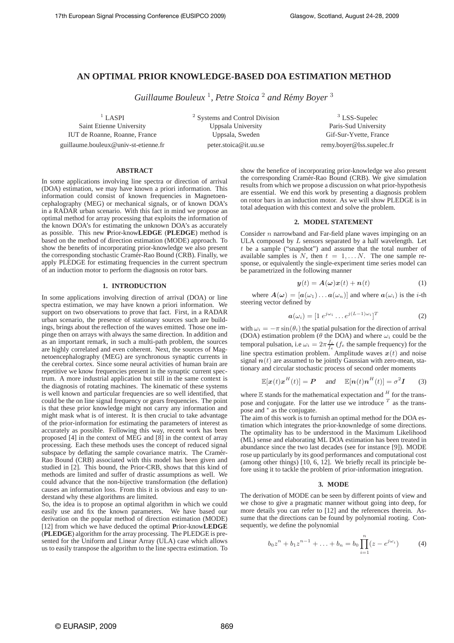# **AN OPTIMAL PRIOR KNOWLEDGE-BASED DOA ESTIMATION METHOD**

*Guillaume Bouleux* <sup>1</sup> *, Petre Stoica* <sup>2</sup> *and Remy Boyer ´* 3

 $1$  LASPI

Saint Etienne University IUT de Roanne, Roanne, France guillaume.bouleux@univ-st-etienne.fr <sup>2</sup> Systems and Control Division Uppsala University Uppsala, Sweden peter.stoica@it.uu.se

<sup>3</sup> LSS-Supelec Paris-Sud University Gif-Sur-Yvette, France remy.boyer@lss.supelec.fr

# **ABSTRACT**

In some applications involving line spectra or direction of arrival (DOA) estimation, we may have known a priori information. This information could consist of known frequencies in Magnetoencephalography (MEG) or mechanical signals, or of known DOA's in a RADAR urban scenario. With this fact in mind we propose an optimal method for array processing that exploits the information of the known DOA's for estimating the unknown DOA's as accurately as possible. This new **P**rior-know**LEDGE** (**PLEDGE**) method is based on the method of direction estimation (MODE) approach. To show the benefits of incorporating prior-knowledge we also present the corresponding stochastic Cramér-Rao Bound (CRB). Finally, we apply PLEDGE for estimating frequencies in the current spectrum of an induction motor to perform the diagnosis on rotor bars.

#### **1. INTRODUCTION**

In some applications involving direction of arrival (DOA) or line spectra estimation, we may have known a priori information. We support on two observations to prove that fact. First, in a RADAR urban scenario, the presence of stationary sources such are buildings, brings about the reflection of the waves emitted. Those one impinge then on arrays with always the same direction. In addition and as an important remark, in such a multi-path problem, the sources are highly correlated and even coherent. Next, the sources of Magnetoencephalography (MEG) are synchronous synaptic currents in the cerebral cortex. Since some neural activities of human brain are repetitive we know frequencies present in the synaptic current spectrum. A more industrial application but still in the same context is the diagnosis of rotating machines. The kinematic of these systems is well known and particular frequencies are so well identified, that could be the on line signal frequency or gears frequencies. The point is that these prior knowledge might not carry any information and might mask what is of interest. It is then crucial to take advantage of the prior-information for estimating the parameters of interest as accurately as possible. Following this way, recent work has been proposed [4] in the context of MEG and [8] in the context of array processing. Each these methods uses the concept of reduced signal subspace by deflating the sample covariance matrix. The Cramér-Rao Bound (CRB) associated with this model has been given and studied in [2]. This bound, the Prior-CRB, shows that this kind of methods are limited and suffer of drastic assumptions as well. We could advance that the non-bijective transformation (the deflation) causes an information loss. From this it is obvious and easy to understand why these algorithms are limited.

So, the idea is to propose an optimal algorithm in which we could easily use and fix the known parameters. We have based our derivation on the popular method of direction estimation (MODE) [12] from which we have deduced the optimal **P**rior-know**LEDGE** (**PLEDGE**) algorithm for the array processing. The PLEDGE is presented for the Uniform and Linear Array (ULA) case which allows us to easily transpose the algorithm to the line spectra estimation. To

show the benefice of incorporating prior-knowledge we also present the corresponding Cramér-Rao Bound (CRB). We give simulation results from which we propose a discussion on what prior-hypothesis are essential. We end this work by presenting a diagnosis problem on rotor bars in an induction motor. As we will show PLEDGE is in total adequation with this context and solve the problem.

#### **2. MODEL STATEMENT**

Consider  $n$  narrowband and Far-field plane waves impinging on an ULA composed by  $L$  sensors separated by a half wavelength. Let  $t$  be a sample ("snapshot") and assume that the total number of available samples is N, then  $t = 1, \ldots N$ . The one sample response, or equivalently the single-experiment time series model can be parametrized in the following manner

$$
y(t) = A(\omega)x(t) + n(t)
$$
 (1)

where  $A(\omega) = [a(\omega_1) \dots a(\omega_n)]$  and where  $a(\omega_i)$  is the *i*-th steering vector defined by

$$
\boldsymbol{a}(\omega_i) = [1 \; e^{j\omega_i} \dots e^{j(L-1)\omega_i}]^T \tag{2}
$$

with  $\omega_i = -\pi \sin(\theta_i)$  the spatial pulsation for the direction of arrival (DOA) estimation problem ( $\theta$  the DOA) and where  $\omega_i$  could be the temporal pulsation, i.e  $\omega_i = 2\pi \frac{f_i}{f_e}$  ( $f_e$  the sample frequency) for the line spectra estimation problem. Amplitude waves  $x(t)$  and noise signal  $n(t)$  are assumed to be jointly Gaussian with zero-mean, stationary and circular stochastic process of second order moments

$$
\mathbb{E}[\boldsymbol{x}(t)\boldsymbol{x}^H(t)] = \boldsymbol{P} \quad \text{and} \quad \mathbb{E}[\boldsymbol{n}(t)\boldsymbol{n}^H(t)] = \sigma^2 \boldsymbol{I} \quad (3)
$$

where  $E$  stands for the mathematical expectation and  $H$  for the transpose and conjugate. For the latter use we introduce  $<sup>T</sup>$  as the trans-</sup> pose and <sup>∗</sup> as the conjugate.

The aim of this work is to furnish an optimal method for the DOA estimation which integrates the prior-knownledge of some directions. The optimality has to be understood in the Maximum Likelihood (ML) sense and elaborating ML DOA estimation has been treated in abundance since the two last decades (see for instance [9]). MODE rose up particularly by its good performances and computational cost (among other things) [10, 6, 12]. We briefly recall its principle before using it to tackle the problem of prior-information integration.

#### **3. MODE**

The derivation of MODE can be seen by different points of view and we chose to give a pragmatic manner without going into deep, for more details you can refer to [12] and the references therein. Assume that the directions can be found by polynomial rooting. Consequently, we define the polynomial

$$
b_0 z^n + b_1 z^{n-1} + \ldots + b_n = b_0 \prod_{i=1}^n (z - e^{j\omega_i})
$$
 (4)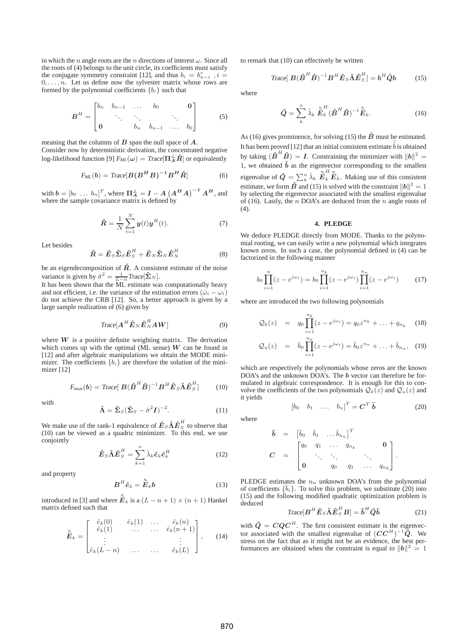in which the n angle roots are the n directions of interest  $\omega$ . Since all the roots of (4) belongs to the unit circle, its coefficients must satisfy the conjugate symmetry constraint [12], and thus  $b_i = b_{n-i}^*$ ,  $i =$  $0, \ldots, n$ . Let us define now the sylvester matrix whose rows are formed by the polynomial coefficients  ${b_i}$  such that

$$
B^{H} = \begin{bmatrix} b_{n} & b_{n-1} & \dots & b_{0} & & \mathbf{0} \\ & \ddots & \ddots & & \ddots & \\ \mathbf{0} & & b_{n} & b_{n-1} & \dots & b_{0} \end{bmatrix}
$$
 (5)

meaning that the columns of  $B$  span the null space of  $A$ . Consider now by deterministic derivation, the concentrated negative log-likelihood function [9]  $F_{ML}(\omega) = Trace[\Pi_A^{\perp} \hat{R}]$  or equivalently

$$
F_{ML}(b) = Trace[B(B^H B)^{-1} B^H \hat{R}]
$$
 (6)

with  $\mathbf{b} = \begin{bmatrix} b_0 & \dots & b_n \end{bmatrix}^T$ , where  $\prod_{A}^{\perp} = \mathbf{I} - A \left( A^H A \right)^{-1} A^H$ , and where the sample covariance matrix is defined by

$$
\hat{R} = \frac{1}{N} \sum_{t=1}^{N} y(t) y^{H}(t).
$$
 (7)

Let besides

$$
\hat{\boldsymbol{R}} = \hat{\boldsymbol{E}}_{S} \hat{\boldsymbol{\Sigma}}_{S} \hat{\boldsymbol{E}}_{S}^{H} + \hat{\boldsymbol{E}}_{N} \hat{\boldsymbol{\Sigma}}_{N} \hat{\boldsymbol{E}}_{N}^{H}
$$
(8)

be an eigendecomposition of  $\hat{R}$ . A consistent estimate of the noise variance is given by  $\hat{\sigma}^2 = \frac{1}{L-n} Trace[\hat{\Sigma}_N].$ 

It has been shown that the ML estimate was computationally heavy and not efficient, i.e. the variance of the estimation errors  $(\hat{\omega}_i - \omega_i)$ do not achieve the CRB [12]. So, a better approach is given by a large sample realization of (6) given by

$$
Trace[A^H \hat{E}_N \hat{E}_N^H AW]
$$
 (9)

where  $W$  is a positive definite weighting matrix. The derivation which comes up with the optimal (ML sense)  $W$  can be found in [12] and after algebraic manipulations we obtain the MODE minimizer. The coefficients  ${b_i}$  are therefore the solution of the minimizer [12]

$$
F_{\text{Mode}}(\boldsymbol{b}) = \text{Trace}[\boldsymbol{B}(\boldsymbol{\hat{B}}^H \boldsymbol{\hat{B}})^{-1} \boldsymbol{B}^H \boldsymbol{\hat{E}}_S \boldsymbol{\hat{\Lambda}} \boldsymbol{\hat{E}}_S^H] \qquad (10)
$$

with

$$
\hat{\Lambda} = \hat{\Sigma}_S (\hat{\Sigma}_S - \hat{\sigma}^2 I)^{-2}.
$$
 (11)

We make use of the rank-1 equivalence of  $\hat{\boldsymbol{E}}_{S} \hat{\boldsymbol{\Lambda}} \hat{\boldsymbol{E}}_{S}^{H}$  to observe that (10) can be viewed as a quadric minimizer. To this end, we use conjointly

$$
\hat{E}_S \hat{\Lambda} \hat{E}_S^H = \sum_{k=1}^n \hat{\lambda}_k \hat{e}_k \hat{e}_k^H
$$
 (12)

and property

$$
B^H \hat{e}_k = \hat{\tilde{E}}_k b \tag{13}
$$

introduced in [3] and where  $\tilde{\tilde{E}}_k$  is a  $(L - n + 1) \times (n + 1)$  Hankel matrix defined such that

$$
\widetilde{E}_k = \begin{bmatrix}\n\hat{e}_k(0) & \hat{e}_k(1) & \dots & \hat{e}_k(n) \\
\hat{e}_k(1) & \dots & \dots & \hat{e}_k(n+1) \\
\vdots & & & \vdots \\
\hat{e}_k(L-n) & \dots & \dots & \hat{e}_k(L)\n\end{bmatrix}, \quad (14)
$$

to remark that (10) can effectively be written

$$
\text{Trace}[\,\boldsymbol{B}(\hat{\boldsymbol{B}}^H\hat{\boldsymbol{B}})^{-1}\boldsymbol{B}^H\hat{\boldsymbol{E}}_S\hat{\boldsymbol{\Lambda}}\hat{\boldsymbol{E}}_S^H]=\boldsymbol{b}^H\hat{\boldsymbol{Q}}\boldsymbol{b} \tag{15}
$$

where

$$
\hat{Q} = \sum_{k}^{n} \hat{\lambda}_{k} \hat{\tilde{E}}_{k}^{H} (\hat{B}^{H} \hat{B})^{-1} \hat{\tilde{E}}_{k}.
$$
 (16)

As (16) gives prominence, for solving (15) the  $\hat{B}$  must be estimated. It has been proved [12] that an initial consistent estimate  $\hat{b}$  is obtained by taking  $(\hat{B}^H \hat{B}) = I$ . Constraining the minimizer with  $||b||^2 =$ 1, we obtained  $\hat{b}$  as the eigenvector corresponding to the smallest eigenvalue of  $\hat{Q} = \sum_{k}^{n} \hat{\lambda}_{k} \hat{\tilde{E}}_{k}^{H} \hat{\tilde{E}}_{k}$ . Making use of this consistent estimate, we form  $\hat{B}$  and (15) is solved with the constraint  $||b||^2 = 1$ by selecting the eigenvector associated with the smallest eigenvalue of (16). Lastly, the  $n$  DOA's are deduced from the  $n$  angle roots of (4).

#### **4. PLEDGE**

We deduce PLEDGE directly from MODE. Thanks to the polynomial rooting, we can easily write a new polynomial which integrates known zeros. In such a case, the polynomial defined in (4) can be factorized in the following manner

$$
b_0 \prod_{i=1}^n (z - e^{j\omega_i}) = b_0 \prod_{i=1}^{n_k} (z - e^{j\omega_i}) \prod_{i=1}^{n_u} (z - e^{j\omega_i}) \tag{17}
$$

where are introduced the two following polynomials

$$
Q_k(z) = q_0 \prod_{i=1}^{n_k} (z - e^{j\omega_i}) = q_0 z^{n_k} + \dots + q_{n_k}
$$
 (18)

$$
Q_u(z) = \bar{b}_0 \prod_{i=1}^{n_u} (z - e^{j\omega_i}) = \bar{b}_0 z^{n_u} + \ldots + \bar{b}_{n_u}, \quad (19)
$$

which are respectively the polynomials whose zeros are the known DOA's and the unknown DOA's. The **b** vector can therefore be formulated in algebraic correspondence. It is enough for this to convolve the coefficients of the two polynomials  $Q_k(z)$  and  $Q_u(z)$  and it yields

$$
\begin{bmatrix} b_0 & b_1 & \dots & b_n \end{bmatrix}^T = \mathbf{C}^T \overline{\mathbf{b}} \tag{20}
$$

where

$$
\begin{array}{rcl}\n\bar{\boldsymbol{b}} & = & \begin{bmatrix} \bar{b}_0 & \bar{b}_1 & \dots & \bar{b}_{n_u} \end{bmatrix}^T \\
C & = & \begin{bmatrix} q_0 & q_1 & \dots & q_{n_k} & & 0 \\ \vdots & \vdots & \ddots & \vdots & \vdots \\ 0 & q_0 & q_1 & \dots & q_{n_k} \end{bmatrix}.\n\end{array}
$$

PLEDGE estimates the  $n_u$  unknown DOA's from the polynomial of coefficients  $\{\bar{b}_i\}$ . To solve this problem, we substitute (20) into (15) and the following modified quadratic optimization problem is deduced

$$
Trace[\boldsymbol{B}^{H}\hat{\boldsymbol{E}}_{S}\hat{\boldsymbol{\Lambda}}\hat{\boldsymbol{E}}_{S}^{H}\boldsymbol{B}] = \bar{\boldsymbol{b}}^{H}\bar{\boldsymbol{Q}}\bar{\boldsymbol{b}} \qquad (21)
$$

with  $\overline{Q} = CQ C^{H}$ . The first consistent estimate is the eigenvector associated with the smallest eigenvalue of  $(C C^H)^{-1} \overline{Q}$ . We stress on the fact that as it might not be an evidence, the best performances are obtained when the constraint is equal to  $||b||^2 = 1$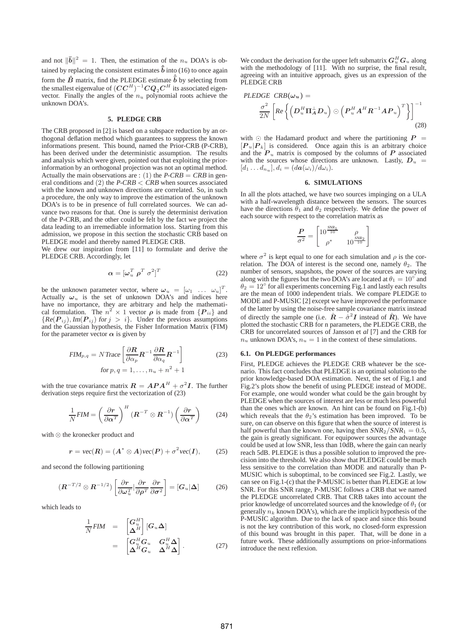and not  $\|\bar{\mathbf{b}}\|^2 = 1$ . Then, the estimation of the  $n_u$  DOA's is obtained by replacing the consistent estimates  $\hat{\overline{b}}$  into (16) to once again form the  $\hat{B}$  matrix, find the PLEDGE estimate  $\hat{\bar{b}}$  by selecting from the smallest eigenvalue of  $({\pmb C} {\pmb C}^H)^{-1} {\pmb C} {\pmb Q}_2 {\pmb C}^H$  its associated eigenvector. Finally the angles of the  $n_u$  polynomial roots achieve the unknown DOA's.

### **5. PLEDGE CRB**

The CRB proposed in [2] is based on a subspace reduction by an orthogonal deflation method which guarantees to suppress the known informations present. This bound, named the Prior-CRB (P-CRB), has been derived under the deterministic assumption. The results and analysis which were given, pointed out that exploiting the priorinformation by an orthogonal projection was not an optimal method. Actually the main observations are : (1) the  $P-CRB = CRB$  in general conditions and (2) the  $P-CRB < CRB$  when sources associated with the known and unknown directions are correlated. So, in such a procedure, the only way to improve the estimation of the unknown DOA's is to be in presence of full correlated sources. We can advance two reasons for that. One is surely the determinist derivation of the P-CRB, and the other could be felt by the fact we project the data leading to an irremediable information loss. Starting from this admission, we propose in this section the stochastic CRB based on PLEDGE model and thereby named PLEDGE CRB.

We drew our inspiration from [11] to formulate and derive the PLEDGE CRB. Accordingly, let

$$
\alpha = [\omega_u^T \ \rho^T \ \sigma^2]^T \tag{22}
$$

be the unknown parameter vector, where  $\omega_u = [\omega_1 \dots \omega_u]^T$ . Actually  $\omega_u$  is the set of unknown DOA's and indices here have no importance, they are arbitrary and help the mathematical formulation. The  $n^2 \times 1$  vector  $\rho$  is made from  $\{P_{ii}\}\$ and  ${Re(P_{ij}), Im(P_{ij}) \text{ for } j > i}.$  Under the previous assumptions and the Gaussian hypothesis, the Fisher Information Matrix (FIM) for the parameter vector  $\alpha$  is given by

$$
FIM_{p,q} = N \text{Trace} \left[ \frac{\partial \mathbf{R}}{\partial \alpha_p} \mathbf{R}^{-1} \frac{\partial \mathbf{R}}{\partial \alpha_q} \mathbf{R}^{-1} \right]
$$
 (23)  
for  $p, q = 1, ..., n_u + n^2 + 1$ 

with the true covariance matrix  $\mathbf{R} = \mathbf{A} \mathbf{P} \mathbf{A}^H + \sigma^2 \mathbf{I}$ . The further derivation steps require first the vectorization of (23)

$$
\frac{1}{N}FIM = \left(\frac{\partial r}{\partial \alpha^T}\right)^H \left(R^{-T} \otimes R^{-1}\right) \left(\frac{\partial r}{\partial \alpha^T}\right) \tag{24}
$$

with ⊗ the kronecker product and

$$
r = \text{vec}(R) = (A^* \otimes A)\text{vec}(P) + \sigma^2 \text{vec}(I), \quad (25)
$$

and second the following partitioning

$$
(\boldsymbol{R}^{-T/2} \otimes \boldsymbol{R}^{-1/2}) \left[ \frac{\partial \boldsymbol{r}}{\partial \boldsymbol{\omega}_u^T} | \frac{\partial \boldsymbol{r}}{\partial \boldsymbol{\rho}^T} \frac{\partial \boldsymbol{r}}{\partial \boldsymbol{\sigma}^2} \right] = [\boldsymbol{G}_u | \boldsymbol{\Delta}] \tag{26}
$$

which leads to

$$
\frac{1}{N}FIM = \begin{bmatrix} G_u^H \\ \Delta^H \end{bmatrix} [G_u \Delta] \n= \begin{bmatrix} G_u^H G_u & G_u^H \Delta \\ \Delta^H G_u & \Delta^H \Delta \end{bmatrix}.
$$
\n(27)

We conduct the derivation for the upper left submatrix  $\bm{G}_u^H\bm{G}_u$  along with the methodology of [11]. With no surprise, the final result, agreeing with an intuitive approach, gives us an expression of the PLEDGE CRB

$$
PLEDGE \quad CRB(\omega_u) =
$$
  
\n
$$
\frac{\sigma^2}{2N} \left[ Re \left\{ \left( D_u^H \Pi_A^{\perp} D_u \right) \odot \left( P_u^H A^H R^{-1} A P_u \right)^T \right\} \right]^{-1}
$$
\n(28)

with ⊙ the Hadamard product and where the partitioning  $P =$  $[P_u|P_k]$  is considered. Once again this is an arbitrary choice and the  $P_u$  matrix is composed by the columns of  $P$  associated with the sources whose directions are unknown. Lastly,  $D_u$  =  $[d_1 \dots d_{n_u}], d_i = (d\boldsymbol{a}(\omega_i)/d\omega_i).$ 

# **6. SIMULATIONS**

In all the plots attached, we have two sources impinging on a ULA with a half-wavelength distance between the sensors. The sources have the directions  $\hat{\theta}_1$  and  $\theta_2$  respectively. We define the power of each source with respect to the correlation matrix as

$$
\frac{P}{\sigma^2} = \begin{bmatrix} 10^{\frac{SNR_1}{10}} & \rho \\ \rho^* & 10^{\frac{SNR_2}{10}} \end{bmatrix}
$$

where  $\sigma^2$  is kept equal to one for each simulation and  $\rho$  is the correlation. The DOA of interest is the second one, namely  $\theta_2$ . The number of sensors, snapshots, the power of the sources are varying along with the figures but the two DOA's are located at  $\theta_1 = 10^\circ$  and  $\theta_2 = 12^\circ$  for all experiments concerning Fig.1 and lastly each results are the mean of 1000 independent trials. We compare PLEDGE to MODE and P-MUSIC [2] except we have improved the performance of the latter by using the noise-free sample covariance matrix instead of directly the sample one (i.e.  $\hat{R} - \hat{\sigma}^2 I$  instead of  $\hat{R}$ ). We have plotted the stochastic CRB for n parameters, the PLEDGE CRB, the CRB for uncorrelated sources of Jansson et *al* [7] and the CRB for  $n_u$  unknown DOA's,  $n_u = 1$  in the context of these simulations.

#### **6.1. On PLEDGE performances**

First, PLEDGE achieves the PLEDGE CRB whatever be the scenario. This fact concludes that PLEDGE is an optimal solution to the prior knowledge-based DOA estimation. Next, the set of Fig.1 and Fig.2's plots show the benefit of using PLEDGE instead of MODE. For example, one would wonder what could be the gain brought by PLEDGE when the sources of interest are less or much less powerful than the ones which are known. An hint can be found on Fig.1-(b) which reveals that the  $\theta_2$ 's estimation has been improved. To be sure, on can observe on this figure that when the source of interest is half powerful than the known one, having then  $SNR_2/SNR_1 = 0.5$ , the gain is greatly significant. For equipower sources the advantage could be used at low SNR, less than 10dB, where the gain can nearly reach 5dB. PLEDGE is thus a possible solution to improved the precision into the threshold. We also show that PLEDGE could be much less sensitive to the correlation than MODE and naturally than P-MUSIC which is suboptimal, to be convinced see Fig.2. Lastly, we can see on Fig.1-(c) that the P-MUSIC is better than PLEDGE at low SNR. For this SNR range, P-MUSIC follows a CRB that we named the PLEDGE uncorrelated CRB. That CRB takes into account the prior knowledge of uncorrelated sources and the knowledge of  $\theta_1$  (or generally  $n_k$  known DOA's), which are the implicit hypothesis of the P-MUSIC algorithm. Due to the lack of space and since this bound is not the key contribution of this work, no closed-form expression of this bound was brought in this paper. That, will be done in a future work. These additionally assumptions on prior-informations introduce the next reflexion.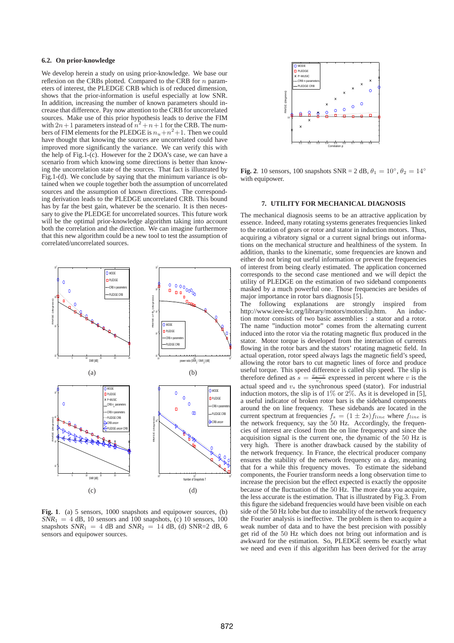## **6.2. On prior-knowledge**

We develop herein a study on using prior-knowledge. We base our reflexion on the CRBs plotted. Compared to the CRB for  $n$  parameters of interest, the PLEDGE CRB which is of reduced dimension, shows that the prior-information is useful especially at low SNR. In addition, increasing the number of known parameters should increase that difference. Pay now attention to the CRB for uncorrelated sources. Make use of this prior hypothesis leads to derive the FIM with  $2n+1$  parameters instead of  $n^2 + n+1$  for the CRB. The numbers of FIM elements for the PLEDGE is  $n_u + n^2 + 1$ . Then we could have thought that knowing the sources are uncorrelated could have improved more significantly the variance. We can verify this with the help of Fig.1-(c). However for the 2 DOA's case, we can have a scenario from which knowing some directions is better than knowing the uncorrelation state of the sources. That fact is illustrated by Fig.1-(d). We conclude by saying that the minimum variance is obtained when we couple together both the assumption of uncorrelated sources and the assumption of known directions. The corresponding derivation leads to the PLEDGE uncorrelated CRB. This bound has by far the best gain, whatever be the scenario. It is then necessary to give the PLEDGE for uncorrelated sources. This future work will be the optimal prior-knowledge algorithm taking into account both the correlation and the direction. We can imagine furthermore that this new algorithm could be a new tool to test the assumption of correlated/uncorrelated sources.



**Fig. 1**. (a) 5 sensors, 1000 snapshots and equipower sources, (b)  $SNR_1 = 4$  dB, 10 sensors and 100 snapshots, (c) 10 sensors, 100 snapshots  $SNR_1 = 4$  dB and  $SNR_2 = 14$  dB, (d)  $SNR = 2$  dB, 6 sensors and equipower sources.



**Fig. 2**. 10 sensors, 100 snapshots  $SNR = 2 dB$ ,  $\theta_1 = 10^\circ$ ,  $\theta_2 = 14^\circ$ with equipower.

#### **7. UTILITY FOR MECHANICAL DIAGNOSIS**

The mechanical diagnosis seems to be an attractive application by essence. Indeed, many rotating systems generates frequencies linked to the rotation of gears or rotor and stator in induction motors. Thus, acquiring a vibratory signal or a current signal brings out informations on the mechanical structure and healthiness of the system. In addition, thanks to the kinematic, some frequencies are known and either do not bring out useful information or prevent the frequencies of interest from being clearly estimated. The application concerned corresponds to the second case mentioned and we will depict the utility of PLEDGE on the estimation of two sideband components masked by a much powerful one. Those frequencies are besides of major importance in rotor bars diagnosis [5].

The following explanations are strongly inspired from http://www.ieee-kc.org/library/motors/motorslip.htm. An induchttp://www.ieee-kc.org/library/motors/motorslip.htm. tion motor consists of two basic assemblies : a stator and a rotor. The name "induction motor" comes from the alternating current induced into the rotor via the rotating magnetic flux produced in the stator. Motor torque is developed from the interaction of currents flowing in the rotor bars and the stators' rotating magnetic field. In actual operation, rotor speed always lags the magnetic field's speed, allowing the rotor bars to cut magnetic lines of force and produce useful torque. This speed difference is called slip speed. The slip is therefore defined as  $s = \frac{v_s - v}{v_s}$  expressed in percent where v is the actual speed and  $v_s$  the synchronous speed (stator). For industrial induction motors, the slip is of  $1\%$  or  $2\%$ . As it is developed in [5], a useful indicator of broken rotor bars is the sideband components around the on line frequency. These sidebands are located in the current spectrum at frequencies  $f_s = (1 \pm 2s) f_{line}$  where  $f_{line}$  is the network frequency, say the  $50$  Hz. Accordingly, the frequencies of interest are closed from the on line frequency and since the acquisition signal is the current one, the dynamic of the 50 Hz is very high. There is another drawback caused by the stability of the network frequency. In France, the electrical producer company ensures the stability of the network frequency on a day, meaning that for a while this frequency moves. To estimate the sideband components, the Fourier transform needs a long observation time to increase the precision but the effect expected is exactly the opposite because of the fluctuation of the 50 Hz. The more data you acquire, the less accurate is the estimation. That is illustrated by Fig.3. From this figure the sideband frequencies would have been visible on each side of the 50 Hz lobe but due to instability of the network frequency the Fourier analysis is ineffective. The problem is then to acquire a weak number of data and to have the best precision with possibly get rid of the 50 Hz which does not bring out information and is awkward for the estimation. So, PLEDGE seems be exactly what we need and even if this algorithm has been derived for the array